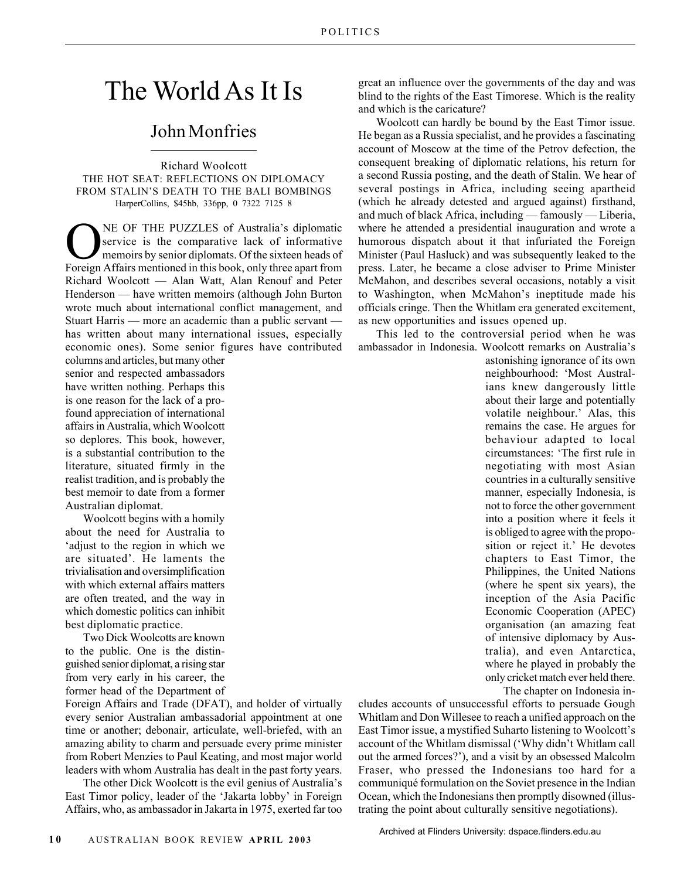## The World As It Is

## John Monfries

Richard Woolcott THE HOT SEAT: REFLECTIONS ON DIPLOMACY FROM STALIN'S DEATH TO THE BALI BOMBINGS HarperCollins, \$45hb, 336pp, 0 7322 7125 8

**ONE OF THE PUZZLES of Australia's diplomatic<br>Service is the comparative lack of informative<br>memoirs by senior diplomats. Of the sixteen heads of<br>Foreign Affairs mentioned in this book, only three apart from** service is the comparative lack of informative memoirs by senior diplomats. Of the sixteen heads of Foreign Affairs mentioned in this book, only three apart from Richard Woolcott — Alan Watt, Alan Renouf and Peter Henderson — have written memoirs (although John Burton wrote much about international conflict management, and Stuart Harris — more an academic than a public servant has written about many international issues, especially economic ones). Some senior figures have contributed

columns and articles, but many other senior and respected ambassadors have written nothing. Perhaps this is one reason for the lack of a profound appreciation of international affairs in Australia, which Woolcott so deplores. This book, however, is a substantial contribution to the literature, situated firmly in the realist tradition, and is probably the best memoir to date from a former Australian diplomat.

Woolcott begins with a homily about the need for Australia to 'adjust to the region in which we are situated'. He laments the trivialisation and oversimplification with which external affairs matters are often treated, and the way in which domestic politics can inhibit best diplomatic practice.

Two Dick Woolcotts are known to the public. One is the distinguished senior diplomat, a rising star from very early in his career, the former head of the Department of

Foreign Affairs and Trade (DFAT), and holder of virtually every senior Australian ambassadorial appointment at one time or another; debonair, articulate, well-briefed, with an amazing ability to charm and persuade every prime minister from Robert Menzies to Paul Keating, and most major world leaders with whom Australia has dealt in the past forty years.

The other Dick Woolcott is the evil genius of Australia's East Timor policy, leader of the 'Jakarta lobby' in Foreign Affairs, who, as ambassador in Jakarta in 1975, exerted far too great an influence over the governments of the day and was blind to the rights of the East Timorese. Which is the reality and which is the caricature?

Woolcott can hardly be bound by the East Timor issue. He began as a Russia specialist, and he provides a fascinating account of Moscow at the time of the Petrov defection, the consequent breaking of diplomatic relations, his return for a second Russia posting, and the death of Stalin. We hear of several postings in Africa, including seeing apartheid (which he already detested and argued against) firsthand, and much of black Africa, including — famously — Liberia, where he attended a presidential inauguration and wrote a humorous dispatch about it that infuriated the Foreign Minister (Paul Hasluck) and was subsequently leaked to the press. Later, he became a close adviser to Prime Minister McMahon, and describes several occasions, notably a visit to Washington, when McMahon's ineptitude made his officials cringe. Then the Whitlam era generated excitement, as new opportunities and issues opened up.

This led to the controversial period when he was ambassador in Indonesia. Woolcott remarks on Australia's

astonishing ignorance of its own neighbourhood: 'Most Australians knew dangerously little about their large and potentially volatile neighbour.' Alas, this remains the case. He argues for behaviour adapted to local circumstances: 'The first rule in negotiating with most Asian countries in a culturally sensitive manner, especially Indonesia, is not to force the other government into a position where it feels it is obliged to agree with the proposition or reject it.' He devotes chapters to East Timor, the Philippines, the United Nations (where he spent six years), the inception of the Asia Pacific Economic Cooperation (APEC) organisation (an amazing feat of intensive diplomacy by Australia), and even Antarctica, where he played in probably the only cricket match ever held there.

The chapter on Indonesia in-

cludes accounts of unsuccessful efforts to persuade Gough Whitlam and Don Willesee to reach a unified approach on the East Timor issue, a mystified Suharto listening to Woolcott's account of the Whitlam dismissal ('Why didn't Whitlam call out the armed forces?'), and a visit by an obsessed Malcolm Fraser, who pressed the Indonesians too hard for a communiqué formulation on the Soviet presence in the Indian Ocean, which the Indonesians then promptly disowned (illustrating the point about culturally sensitive negotiations).